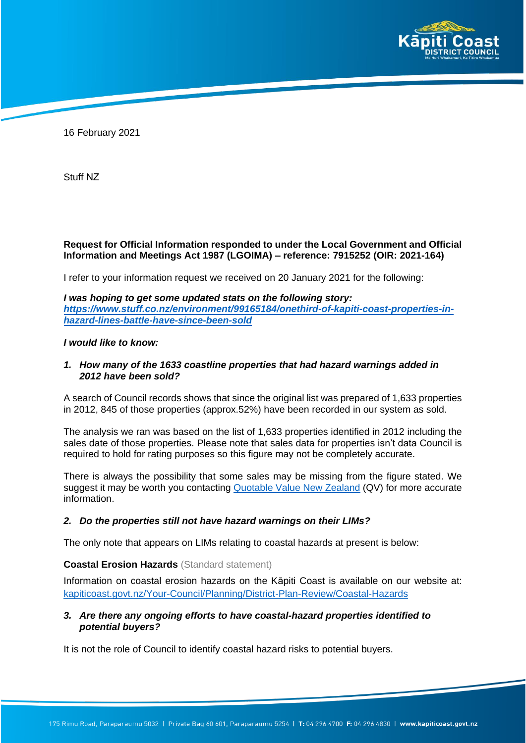

16 February 2021

Stuff [NZ](mailto:Ged.cann@fairfaxmedia.co.nz)

# **Request for Official Information responded to under the Local Government and Official Information and Meetings Act 1987 (LGOIMA) – reference: 7915252 (OIR: 2021-164)**

I refer to your information request we received on 20 January 2021 for the following:

*I was hoping to get some updated stats on the following story: [https://www.stuff.co.nz/environment/99165184/onethird-of-kapiti-coast-properties-in](https://www.stuff.co.nz/environment/99165184/onethird-of-kpiti-coast-properties-in-hazard-lines-battle-have-since-been-sold)[hazard-lines-battle-have-since-been-sold](https://www.stuff.co.nz/environment/99165184/onethird-of-kpiti-coast-properties-in-hazard-lines-battle-have-since-been-sold)*

## *I would like to know:*

## *1. How many of the 1633 coastline properties that had hazard warnings added in 2012 have been sold?*

A search of Council records shows that since the original list was prepared of 1,633 properties in 2012, 845 of those properties (approx.52%) have been recorded in our system as sold.

The analysis we ran was based on the list of 1,633 properties identified in 2012 including the sales date of those properties. Please note that sales data for properties isn't data Council is required to hold for rating purposes so this figure may not be completely accurate.

There is always the possibility that some sales may be missing from the figure stated. We suggest it may be worth you contacting [Quotable Value](mailto:contact@qv.co.nz) New Zealand (QV) for more accurate information.

## *2. Do the properties still not have hazard warnings on their LIMs?*

The only note that appears on LIMs relating to coastal hazards at present is below:

## **Coastal Erosion Hazards** (Standard statement)

Information on coastal erosion hazards on the Kāpiti Coast is available on our website at: [kapiticoast.govt.nz/Your-Council/Planning/District-Plan-Review/Coastal-Hazards](https://www.kapiticoast.govt.nz/Your-Council/Planning/District-Plan-Review/Coastal-Hazards)

# *3. Are there any ongoing efforts to have coastal-hazard properties identified to potential buyers?*

It is not the role of Council to identify coastal hazard risks to potential buyers.